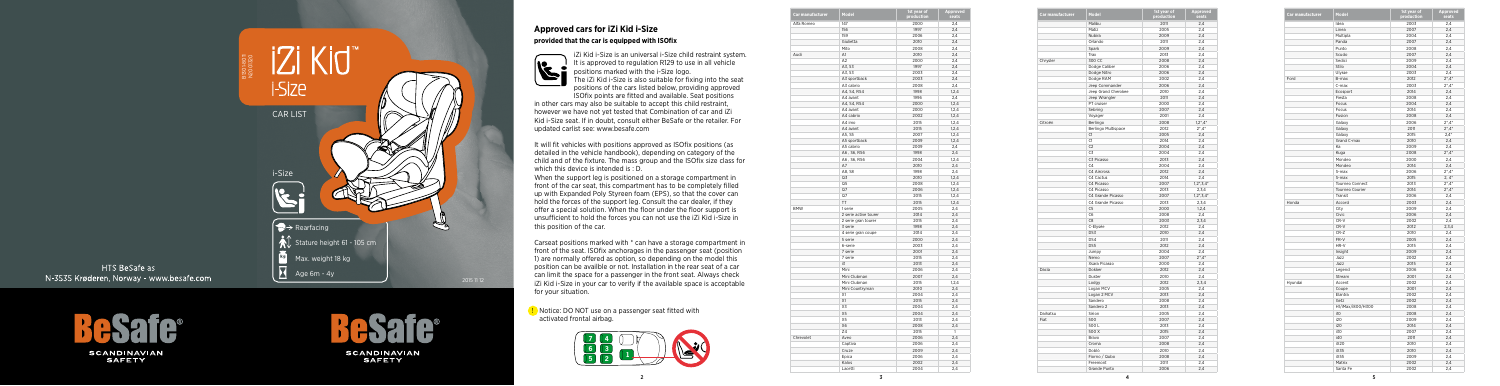2

## **Approved cars for iZi Kid i-Size provided that the car is equipped with ISOfix**



iZi Kid i-Size is an universal i-Size child restraint system. It is approved to regulation R129 to use in all vehicle positions marked with the i-Size logo.

The iZi Kid i-Size is also suitable for fixing into the seat positions of the cars listed below, providing approved ISOfix points are fitted and available. Seat positions

It will fit vehicles with positions approved as ISOfix positions (as detailed in the vehicle handbook), depending on category of the child and of the fixture. The mass group and the ISOfix size class for which this device is intended is : D.

in other cars may also be suitable to accept this child restraint, however we have not yet tested that Combination of car and iZi Kid i-Size seat. If in doubt, consult either BeSafe or the retailer. For updated carlist see: www.besafe.com

When the support leg is positioned on a storage compartment in front of the car seat, this compartment has to be completely filled up with Expanded Poly Styreen foam (EPS), so that the cover can hold the forces of the support leg. Consult the car dealer, if they offer a special solution. When the floor under the floor support is unsufficient to hold the forces you can not use the iZi Kid i-Size in this position of the car.

Carseat positions marked with \* can have a storage compartment in front of the seat. ISOfix anchorages in the passenger seat (position 1) are normally offered as option, so depending on the model this position can be availble or not. Installation in the rear seat of a car can limit the space for a passenger in the front seat. Always check iZi Kid i-Size in your car to verify if the available space is acceptable for your situation.

|                  | Model               | 1st year of | Approved      |
|------------------|---------------------|-------------|---------------|
| Car manufacturer |                     | production  | seats         |
|                  | Malibu              | 2011        | 2,4           |
|                  | Matiz               | 2005        | 2,4           |
|                  | Nubira              | 2009        | 2,4           |
|                  | Orlando             | 2011        | 2,4           |
|                  | Spark               | 2009        | 2,4           |
|                  | Trax                | 2013        | 2,4           |
| Chrysler         | 300 CC              | 2008        | 2,4           |
|                  | Dodge Caliber       | 2006        | 2,4           |
|                  | Dodge Nitro         | 2006        | 2,4           |
|                  | Dodge RAM           | 2002        | 2,4           |
|                  | Jeep Commander      | 2006        | 2,4           |
|                  | Jeep Grand Cherokee | 2010        | 2,4           |
|                  | Jeep Wrangler       | 2011        | 2,4           |
|                  | PT cruiser          | 2000        | 2,4           |
|                  | Sebring             | 2007        | 2,4           |
|                  | Voyager             | 2001        | 2,4           |
| Citroën          | Berlingo            | 2008        | $1,2^*$ , 4*  |
|                  | Berlingo Multispace | 2012        | $2^*$ , $4^*$ |
|                  |                     |             |               |
|                  | C1                  | 2005        | 2,4           |
|                  | C1                  | 2014        | 2,4           |
|                  | C <sub>2</sub>      | 2004        | 2,4           |
|                  | C3                  | 2004        | 2,4           |
|                  | C3 Picasso          | 2013        | 2,4           |
|                  | C <sub>4</sub>      | 2004        | 2,4           |
|                  | C4 Aircross         | 2012        | 2,4           |
|                  | C4 Cactus           | 2014        | 2,4           |
|                  | C4 Picasso          | 2007        | $1,2^*,3,4^*$ |
|                  | C4 Picasso          | 2013        | 2,3,4         |
|                  | C4 Grande Picasso   | 2007        | $1,2^*,3,4^*$ |
|                  | C4 Grande Picasso   | 2013        | 2,3,4         |
|                  | C5                  | 2000        | 1.2.4         |
|                  | C6                  | 2008        | 2,4           |
|                  | C <sub>8</sub>      | 2003        | 2,3,4         |
|                  | C-Elysée            | 2012        | 2,4           |
|                  | DS3                 | 2010        | 2,4           |
|                  | DS4                 | 2011        | 2,4           |
|                  | DS5                 | 2012        | 2,4           |
|                  | Jumpy               | 2004        | 2,4           |
|                  | Nemo                | 2007        | $2^*$ , $4^*$ |
|                  | Xsara Picasso       | 2000        | 2,4           |
| Dacia            | Dokker              | 2012        | 2,4           |
|                  | Duster              | 2010        | 2.4           |
|                  | Lodgy               | 2012        | 2,3,4         |
|                  | Logan MCV           | 2005        | 2,4           |
|                  | Logan 2 MCV         | 2013        | 2,4           |
|                  | Sandero             | 2008        | 2,4           |
|                  | Sandero 2           | 2013        | 2,4           |
| Daihatsu         | Sirion              | 2005        | 2,4           |
| Fiat             | 500                 | 2007        | 2,4           |
|                  | 500L                | 2013        | 2,4           |
|                  | 500 X               | 2015        | 2,4           |
|                  | Bravo               | 2007        | 2,4           |
|                  | Croma               | 2008        | 2,4           |
|                  | Doblò               | 2010        | 2,4           |
|                  | Fiorno / Qubo       | 2008        | 2,4           |
|                  | Freemont            | 2011        | 2,4           |
|                  | Grande Punto        | 2006        | 2,4           |
|                  |                     |             |               |

Notice: DO NOT use on a passenger seat fitted with activated frontal airbag.

| Car manufacturer | Model             | 1st year of | Approved      |
|------------------|-------------------|-------------|---------------|
|                  |                   | production  | seats         |
|                  | Idea              | 2003        | 2,4           |
|                  | Linea             | 2007        | 2.4           |
|                  | Multipla          | 2004        | 2,4           |
|                  | Panda             | 2007        | 2,4           |
|                  | Punto             | 2008        | 2,4           |
|                  | Scudo             | 2007        | 2,4           |
|                  | Sedici            | 2009        | 2,4           |
|                  | Stilo             | 2004        | 2,4           |
|                  | Ulysse            | 2003        | 2,4           |
| Ford             | B-max             | 2012        | $2^*$ , $4^*$ |
|                  | C-max             | 2003        | $2^*$ , 4 $*$ |
|                  | Ecosport          | 2014        | 2,4           |
|                  | Fiesta            | 2008        | 2,4           |
|                  | Focus             | 2004        | 2,4           |
|                  | Focus             | 2014        | 2,4           |
|                  | Fusion            | 2008        | 2,4           |
|                  | Galaxy            | 2006        | $2^*$ , $4^*$ |
|                  | Galaxy            | 2011        | $2^*$ , $4^*$ |
|                  | Galaxy            | 2015        | $2,4*$        |
|                  | Grand C-max       | 2010        | 2,4           |
|                  | Ka                | 2009        | 2,4           |
|                  | Kuga              | 2008        | $2^* .4^*$    |
|                  | Mondeo            | 2000        | 2,4           |
|                  | Mondeo            | 2014        | 2,4           |
|                  | S-max             | 2006        | $2^*$ , $4^*$ |
|                  | S-max             | 2015        | $2, 4^*$      |
|                  | Tourneo Connect   | 2013        | $2^*$ , $4^*$ |
|                  | Tourneo Courier   | 2014        | $2^*$ , $4^*$ |
|                  | Transit           | 2006        | 2,4           |
| Honda            | Accord            | 2003        | 2,4           |
|                  | City              | 2009        | 2,4           |
|                  | Civic             | 2006        | 2,4           |
|                  | CR-V              | 2002        | 2,4           |
|                  | CR-V              | 2012        | 2,3,4         |
|                  |                   |             |               |
|                  | CR-Z              | 2010        | 2,4           |
|                  | FR-V              | 2005        | 2,4           |
|                  | HR-V              | 2015        | 2,4           |
|                  | Insight           | 2009        | 2,4           |
|                  | Jazz              | 2002        | 2,4           |
|                  | Jazz              | 2015        | 2,4           |
|                  | Legend            | 2006        | 2,4           |
|                  | Stream            | 2001        | 2,4           |
| Hyundai          | Accent            | 2002        | 2,4           |
|                  | Coupe             | 2001        | 2,4           |
|                  | Elantra           | 2002        | 2,4           |
|                  | Getz              | 2002        | 2,4           |
|                  | H1/iMax/i800/H300 | 2008        | 2,4           |
|                  | i10               | 2008        | 2,4           |
|                  | i20               | 2009        | 2,4           |
|                  | i20               | 2014        | 2,4           |
|                  | i30               | 2007        | 2,4           |
|                  | i40               | 2011        | 2,4           |
|                  | iX20              | 2010        | 2,4           |
|                  | iX35              | 2010        | 2,4           |
|                  | iX55              | 2009        | 2,4           |
|                  | Matrix            | 2002        | 2.4           |
|                  | Santa Fe          | 2002        | 2.4           |

| Car manufacturer | Model                 | 1st year of  | Approved |
|------------------|-----------------------|--------------|----------|
|                  |                       | production   | seats    |
| Alfa Romeo       | 147                   | 2000         | 2,4      |
|                  | 156                   | 1997         | 2,4      |
|                  | 159                   | 2006         | 2,4      |
|                  | Giulietta             | 2010         | 2,4      |
|                  | Mito                  | 2008         | 2,4      |
| Audi             | A1                    | 2010         | 2,4      |
|                  | A <sub>2</sub>        | 2000         | 2,4      |
|                  | A3, S3                | 1997         | 2,4      |
|                  | A3, S3                | 2003         | 2,4      |
|                  | A3 sportback          | 2003         | 2,4      |
|                  | A3 cabrio             | 2008         | 2,4      |
|                  | A4, S4, RS4           | 1998         | 1,2,4    |
|                  | A4 avant              | 1996         | 2,4      |
|                  | A4, S4, RS4           | 2000         | 1,2,4    |
|                  | A4 avant              | 2000         | 1, 2, 4  |
|                  | A4 cabrio             | 2002         | 1, 2, 4  |
|                  | A4 imo                | 2015         | 1, 2, 4  |
|                  | A4 avant              | 2015         | 1, 2, 4  |
|                  | A5, S5                | 2007         | 1, 2, 4  |
|                  | A5 sportback          | 2009         | 1, 2, 4  |
|                  | A5 cabrio             | 2009         | 2,4      |
|                  | A6, S6, RS6           | 1998         | 2,4      |
|                  | A6, S6, RS6           | 2004         | 1,2,4    |
|                  | A7                    | 2010         | 2,4      |
|                  | A8, S8                | 1998         | 2,4      |
|                  | Q3                    | 2010         | 1,2,4    |
|                  | Q5                    | 2008         | 1,2,4    |
|                  | Q7                    | 2006         | 1,2,4    |
|                  | Q7                    | 2015         | 1, 2, 4  |
|                  | TT                    | 2015         | 1, 2, 4  |
| <b>BMW</b>       | 1 serie               | 2005         | 2.4      |
|                  |                       |              |          |
|                  | 2 serie active tourer | 2014<br>2015 | 2,4      |
|                  | 2 serie gran tourer   | 1998         | 2,4      |
|                  | 3 serie               |              | 2,4      |
|                  | 4 serie gran coupe    | 2014         | 2,4      |
|                  | 5 serie               | 2000         | 2,4      |
|                  | 6-serie               | 2003         | 2,4      |
|                  | 7 serie               | 2001         | 2,4      |
|                  | 7 serie               | 2015         | 2,4      |
|                  | i3                    | 2013         | 2,4      |
|                  | Mini                  | 2006         | 2,4      |
|                  | Mini Clubman          | 2007         | 2.4      |
|                  | Mini Clubman          | 2015         | 1,2,4    |
|                  | Mini Countryman       | 2010         | 2,4      |
|                  | X1                    | 2004         | 2,4      |
|                  | X1                    | 2015         | 2,4      |
|                  | X3                    | 2004         | 2,4      |
|                  | X <sub>5</sub>        | 2004         | 2,4      |
|                  | X5                    | 2013         | 2,4      |
|                  | X6                    | 2008         | 2,4      |
|                  | Ζ4                    | 2015         | 1        |
| Chrevolet        | Aveo                  | 2006         | 2,4      |
|                  | Captiva               | 2006         | 2,4      |
|                  | Cruze                 | 2009         | 2,4      |
|                  | Epica                 | 2006         | 2,4      |
|                  | Kalos                 | 2002         | 2,4      |
|                  | Lacetti               | 2004         | 2,4      |



HTS BeSafe as N-3535 Krøderen, Norway - www.besafe.com

> **SCANDINAVIAN SAFETY**



**SCANDINAVIAN SAFETY**